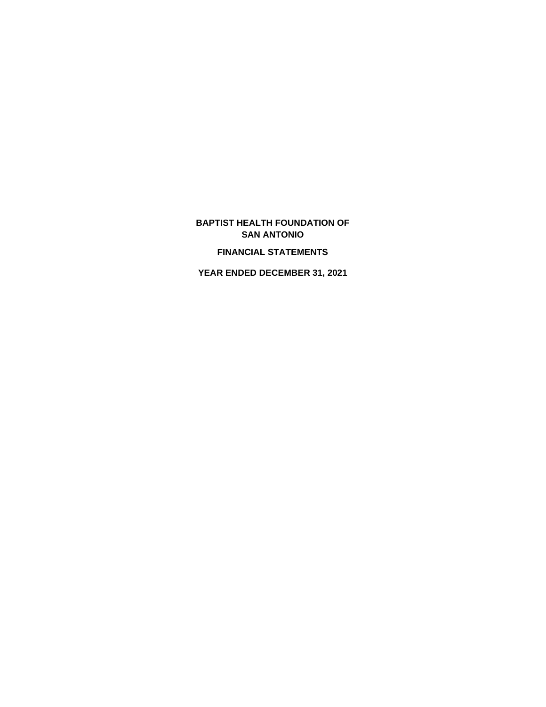# **FINANCIAL STATEMENTS**

**YEAR ENDED DECEMBER 31, 2021**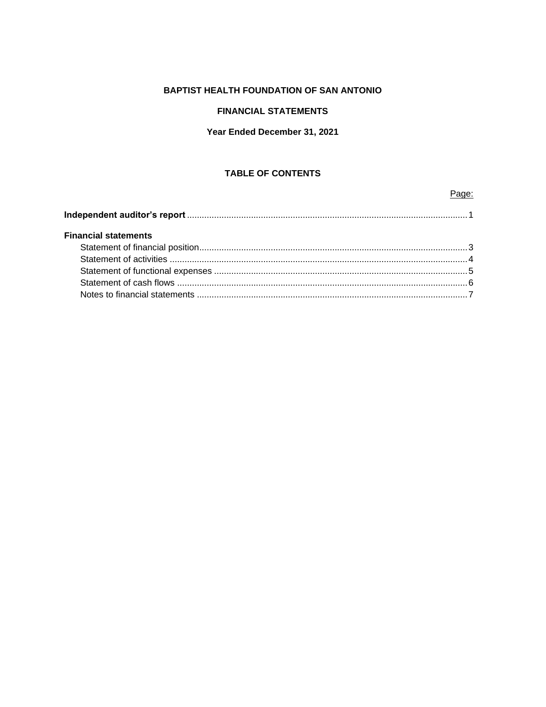# **FINANCIAL STATEMENTS**

Year Ended December 31, 2021

# **TABLE OF CONTENTS**

Page:

| <b>Financial statements</b> |  |
|-----------------------------|--|
|                             |  |
|                             |  |
|                             |  |
|                             |  |
|                             |  |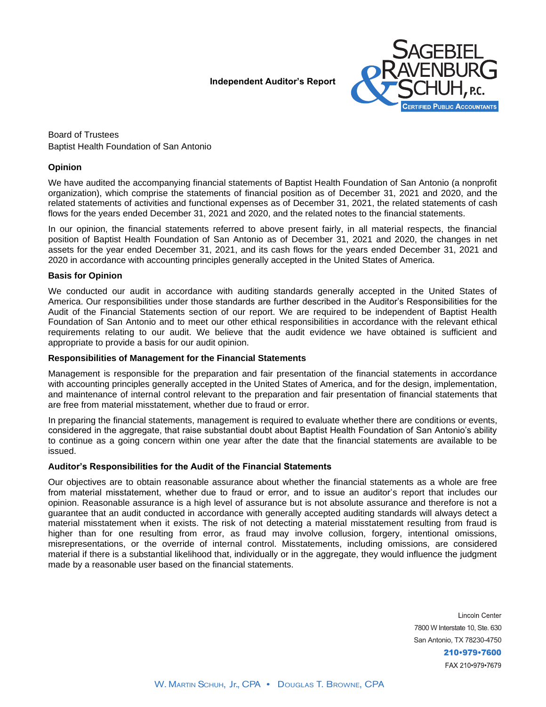## **Independent Auditor's Report**



Board of Trustees Baptist Health Foundation of San Antonio

### **Opinion**

We have audited the accompanying financial statements of Baptist Health Foundation of San Antonio (a nonprofit organization), which comprise the statements of financial position as of December 31, 2021 and 2020, and the related statements of activities and functional expenses as of December 31, 2021, the related statements of cash flows for the years ended December 31, 2021 and 2020, and the related notes to the financial statements.

In our opinion, the financial statements referred to above present fairly, in all material respects, the financial position of Baptist Health Foundation of San Antonio as of December 31, 2021 and 2020, the changes in net assets for the year ended December 31, 2021, and its cash flows for the years ended December 31, 2021 and 2020 in accordance with accounting principles generally accepted in the United States of America.

#### **Basis for Opinion**

We conducted our audit in accordance with auditing standards generally accepted in the United States of America. Our responsibilities under those standards are further described in the Auditor's Responsibilities for the Audit of the Financial Statements section of our report. We are required to be independent of Baptist Health Foundation of San Antonio and to meet our other ethical responsibilities in accordance with the relevant ethical requirements relating to our audit. We believe that the audit evidence we have obtained is sufficient and appropriate to provide a basis for our audit opinion.

### **Responsibilities of Management for the Financial Statements**

Management is responsible for the preparation and fair presentation of the financial statements in accordance with accounting principles generally accepted in the United States of America, and for the design, implementation, and maintenance of internal control relevant to the preparation and fair presentation of financial statements that are free from material misstatement, whether due to fraud or error.

In preparing the financial statements, management is required to evaluate whether there are conditions or events, considered in the aggregate, that raise substantial doubt about Baptist Health Foundation of San Antonio's ability to continue as a going concern within one year after the date that the financial statements are available to be issued.

### **Auditor's Responsibilities for the Audit of the Financial Statements**

Our objectives are to obtain reasonable assurance about whether the financial statements as a whole are free from material misstatement, whether due to fraud or error, and to issue an auditor's report that includes our opinion. Reasonable assurance is a high level of assurance but is not absolute assurance and therefore is not a guarantee that an audit conducted in accordance with generally accepted auditing standards will always detect a material misstatement when it exists. The risk of not detecting a material misstatement resulting from fraud is higher than for one resulting from error, as fraud may involve collusion, forgery, intentional omissions, misrepresentations, or the override of internal control. Misstatements, including omissions, are considered material if there is a substantial likelihood that, individually or in the aggregate, they would influence the judgment made by a reasonable user based on the financial statements.

> **Lincoln Center** 7800 W Interstate 10, Ste. 630 San Antonio, TX 78230-4750 210-979-7600 FAX 210-979-7679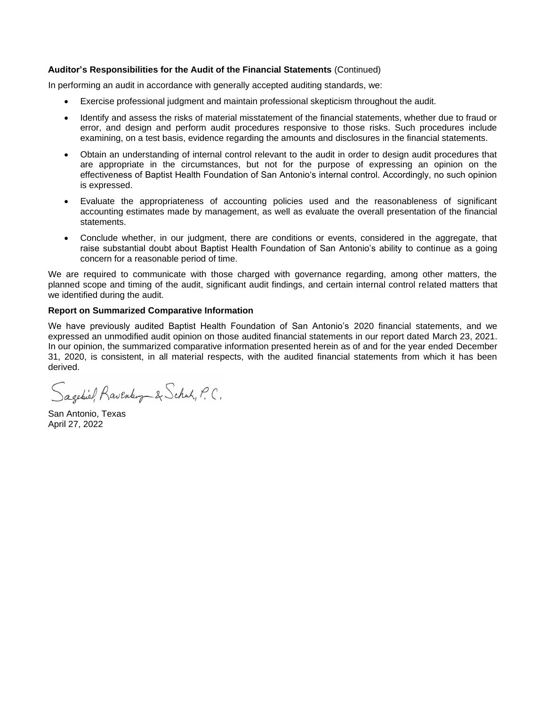#### **Auditor's Responsibilities for the Audit of the Financial Statements** (Continued)

In performing an audit in accordance with generally accepted auditing standards, we:

- Exercise professional judgment and maintain professional skepticism throughout the audit.
- Identify and assess the risks of material misstatement of the financial statements, whether due to fraud or error, and design and perform audit procedures responsive to those risks. Such procedures include examining, on a test basis, evidence regarding the amounts and disclosures in the financial statements.
- Obtain an understanding of internal control relevant to the audit in order to design audit procedures that are appropriate in the circumstances, but not for the purpose of expressing an opinion on the effectiveness of Baptist Health Foundation of San Antonio's internal control. Accordingly, no such opinion is expressed.
- Evaluate the appropriateness of accounting policies used and the reasonableness of significant accounting estimates made by management, as well as evaluate the overall presentation of the financial statements.
- Conclude whether, in our judgment, there are conditions or events, considered in the aggregate, that raise substantial doubt about Baptist Health Foundation of San Antonio's ability to continue as a going concern for a reasonable period of time.

We are required to communicate with those charged with governance regarding, among other matters, the planned scope and timing of the audit, significant audit findings, and certain internal control related matters that we identified during the audit.

#### **Report on Summarized Comparative Information**

We have previously audited Baptist Health Foundation of San Antonio's 2020 financial statements, and we expressed an unmodified audit opinion on those audited financial statements in our report dated March 23, 2021. In our opinion, the summarized comparative information presented herein as of and for the year ended December 31, 2020, is consistent, in all material respects, with the audited financial statements from which it has been derived.

Sagebiel, Ravenburg & Schut, P.C.

San Antonio, Texas April 27, 2022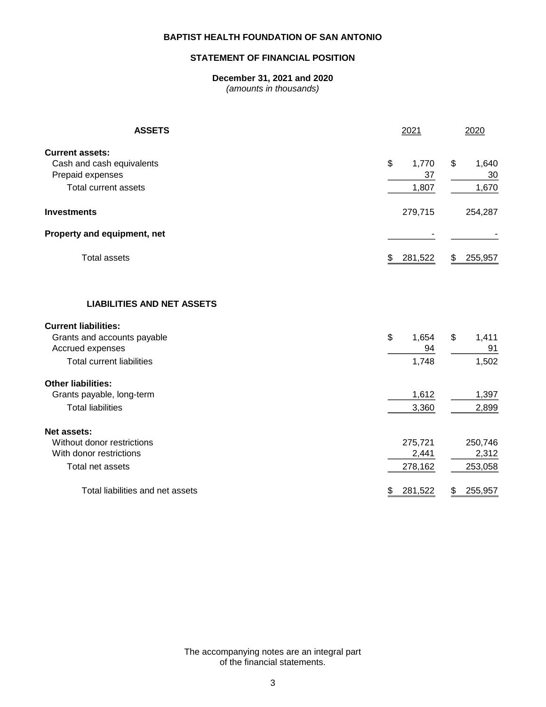# **STATEMENT OF FINANCIAL POSITION**

#### **December 31, 2021 and 2020** *(amounts in thousands)*

| <b>ASSETS</b>                                   | 2021              | 2020              |
|-------------------------------------------------|-------------------|-------------------|
| <b>Current assets:</b>                          |                   |                   |
| Cash and cash equivalents<br>Prepaid expenses   | \$<br>1,770<br>37 | \$<br>1,640<br>30 |
| <b>Total current assets</b>                     | 1,807             | 1,670             |
| <b>Investments</b>                              | 279,715           | 254,287           |
| Property and equipment, net                     |                   |                   |
| <b>Total assets</b>                             | \$<br>281,522     | \$<br>255,957     |
| <b>LIABILITIES AND NET ASSETS</b>               |                   |                   |
| <b>Current liabilities:</b>                     |                   |                   |
| Grants and accounts payable<br>Accrued expenses | \$<br>1,654<br>94 | \$<br>1,411<br>91 |
| <b>Total current liabilities</b>                | 1,748             | 1,502             |
| <b>Other liabilities:</b>                       |                   |                   |
| Grants payable, long-term                       | 1,612             | 1,397             |
| <b>Total liabilities</b>                        | 3,360             | 2,899             |
| <b>Net assets:</b>                              |                   |                   |

| Without donor restrictions       | 275.721 | 250.746 |
|----------------------------------|---------|---------|
| With donor restrictions          | 2.441   | 2.312   |
| Total net assets                 | 278.162 | 253,058 |
| Total liabilities and net assets | 281.522 | 255.957 |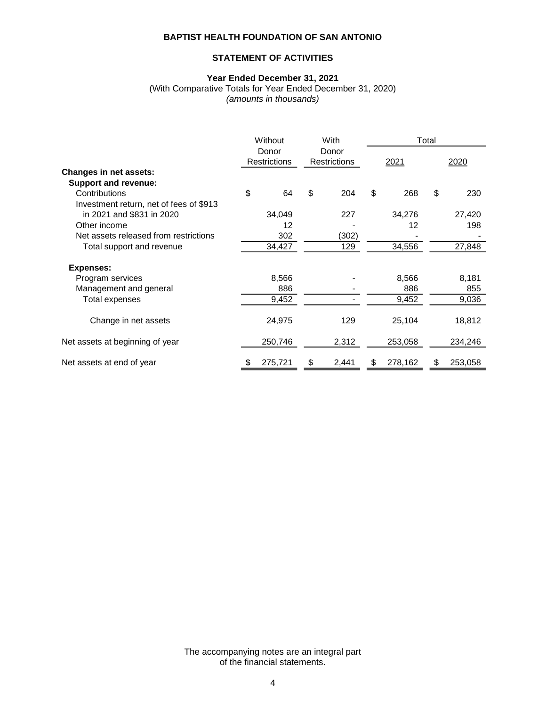# **STATEMENT OF ACTIVITIES**

#### **Year Ended December 31, 2021**

(With Comparative Totals for Year Ended December 31, 2020) *(amounts in thousands)*

|                                         | Without             |         | With |                     | Total  |         |        |         |
|-----------------------------------------|---------------------|---------|------|---------------------|--------|---------|--------|---------|
|                                         |                     | Donor   |      | Donor               |        |         |        |         |
|                                         | <b>Restrictions</b> |         |      | <b>Restrictions</b> |        | 2021    |        | 2020    |
| <b>Changes in net assets:</b>           |                     |         |      |                     |        |         |        |         |
| <b>Support and revenue:</b>             |                     |         |      |                     |        |         |        |         |
| Contributions                           | \$                  | 64      | \$   | 204                 | \$     | 268     | \$     | 230     |
| Investment return, net of fees of \$913 |                     |         |      |                     |        |         |        |         |
| in 2021 and \$831 in 2020               |                     | 34,049  |      | 227                 |        | 34,276  |        | 27,420  |
| Other income                            |                     | 12      |      |                     |        | 12      |        | 198     |
| Net assets released from restrictions   |                     | 302     |      | (302)               |        |         |        |         |
| Total support and revenue               | 34,427              |         | 129  |                     | 34,556 |         | 27,848 |         |
| <b>Expenses:</b>                        |                     |         |      |                     |        |         |        |         |
| Program services                        |                     | 8,566   |      |                     |        | 8,566   |        | 8,181   |
| Management and general                  |                     | 886     |      |                     |        | 886     |        | 855     |
| Total expenses                          |                     | 9,452   |      |                     |        | 9,452   |        | 9,036   |
| Change in net assets                    |                     | 24,975  |      | 129                 |        | 25,104  |        | 18,812  |
| Net assets at beginning of year         |                     | 250,746 |      | 2,312               |        | 253,058 |        | 234,246 |
| Net assets at end of year               |                     | 275,721 | \$   | 2,441               | \$     | 278,162 | \$     | 253,058 |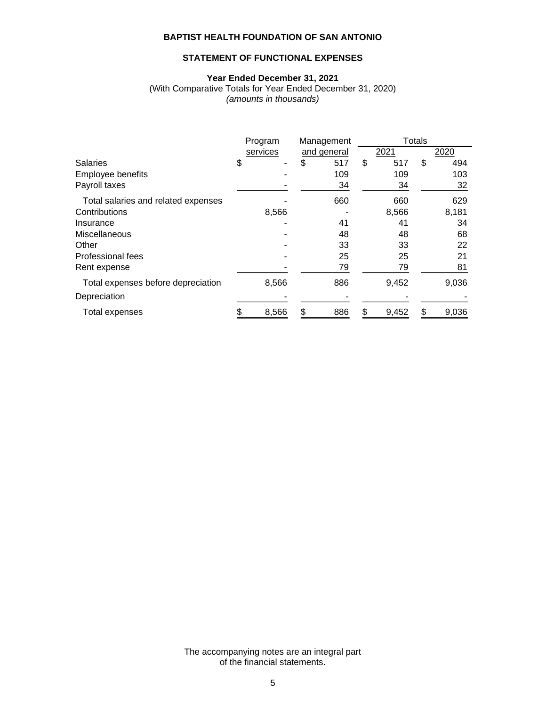### **STATEMENT OF FUNCTIONAL EXPENSES**

## **Year Ended December 31, 2021**

(With Comparative Totals for Year Ended December 31, 2020) *(amounts in thousands)*

|                                     |    | Program  |    | Management<br>and general |    | <b>Totals</b> |    |       |  |
|-------------------------------------|----|----------|----|---------------------------|----|---------------|----|-------|--|
|                                     |    | services |    |                           |    | 2021          |    | 2020  |  |
| <b>Salaries</b>                     | \$ |          | \$ | 517                       | \$ | 517           | \$ | 494   |  |
| Employee benefits                   |    |          |    | 109                       |    | 109           |    | 103   |  |
| Payroll taxes                       |    |          |    | 34                        |    | 34            |    | 32    |  |
| Total salaries and related expenses |    |          |    | 660                       |    | 660           |    | 629   |  |
| Contributions                       |    | 8,566    |    |                           |    | 8,566         |    | 8,181 |  |
| Insurance                           |    |          |    | 41                        |    | 41            |    | 34    |  |
| Miscellaneous                       |    |          |    | 48                        |    | 48            |    | 68    |  |
| Other                               |    |          |    | 33                        |    | 33            |    | 22    |  |
| Professional fees                   |    |          |    | 25                        |    | 25            |    | 21    |  |
| Rent expense                        |    |          |    | 79                        |    | 79            |    | 81    |  |
| Total expenses before depreciation  |    | 8,566    |    | 886                       |    | 9,452         |    | 9,036 |  |
| Depreciation                        |    |          |    |                           |    |               |    |       |  |
| Total expenses                      |    | 8,566    | \$ | 886                       |    | 9,452         |    | 9,036 |  |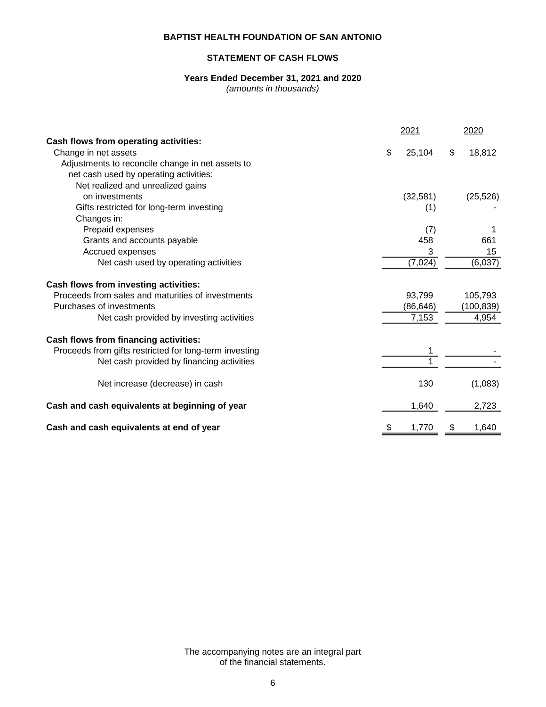# **STATEMENT OF CASH FLOWS**

### **Years Ended December 31, 2021 and 2020**

*(amounts in thousands)*

|                                                        | 2021         | 2020         |
|--------------------------------------------------------|--------------|--------------|
| Cash flows from operating activities:                  |              |              |
| Change in net assets                                   | \$<br>25,104 | \$<br>18,812 |
| Adjustments to reconcile change in net assets to       |              |              |
| net cash used by operating activities:                 |              |              |
| Net realized and unrealized gains                      |              |              |
| on investments                                         | (32, 581)    | (25, 526)    |
| Gifts restricted for long-term investing               | (1)          |              |
| Changes in:                                            |              |              |
| Prepaid expenses                                       | (7)          |              |
| Grants and accounts payable                            | 458          | 661          |
| Accrued expenses                                       | 3            | 15           |
| Net cash used by operating activities                  | (7,024)      | (6,037)      |
| Cash flows from investing activities:                  |              |              |
| Proceeds from sales and maturities of investments      | 93,799       | 105,793      |
| Purchases of investments                               | (86, 646)    | (100,839)    |
| Net cash provided by investing activities              | 7,153        | 4,954        |
| Cash flows from financing activities:                  |              |              |
| Proceeds from gifts restricted for long-term investing | 1            |              |
| Net cash provided by financing activities              |              |              |
| Net increase (decrease) in cash                        | 130          | (1,083)      |
| Cash and cash equivalents at beginning of year         | 1,640        | 2,723        |
| Cash and cash equivalents at end of year               | 1,770        | 1,640        |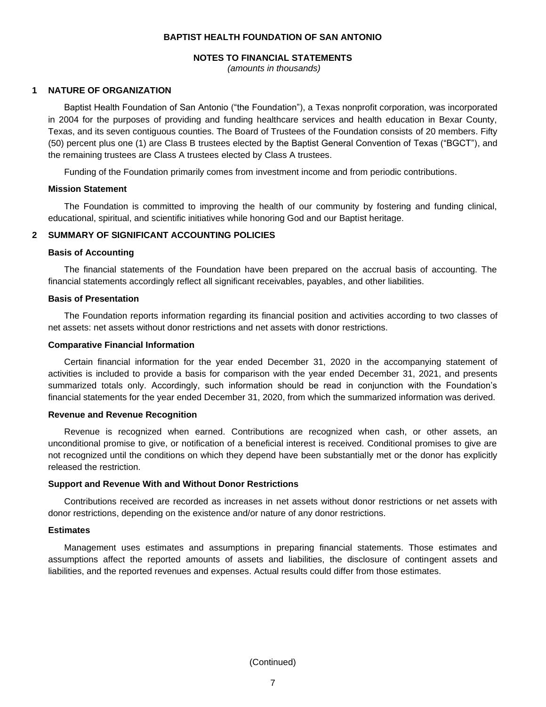#### **NOTES TO FINANCIAL STATEMENTS**

*(amounts in thousands)*

#### **1 NATURE OF ORGANIZATION**

Baptist Health Foundation of San Antonio ("the Foundation"), a Texas nonprofit corporation, was incorporated in 2004 for the purposes of providing and funding healthcare services and health education in Bexar County, Texas, and its seven contiguous counties. The Board of Trustees of the Foundation consists of 20 members. Fifty (50) percent plus one (1) are Class B trustees elected by the Baptist General Convention of Texas ("BGCT"), and the remaining trustees are Class A trustees elected by Class A trustees.

Funding of the Foundation primarily comes from investment income and from periodic contributions.

#### **Mission Statement**

The Foundation is committed to improving the health of our community by fostering and funding clinical, educational, spiritual, and scientific initiatives while honoring God and our Baptist heritage.

# **2 SUMMARY OF SIGNIFICANT ACCOUNTING POLICIES**

#### **Basis of Accounting**

The financial statements of the Foundation have been prepared on the accrual basis of accounting. The financial statements accordingly reflect all significant receivables, payables, and other liabilities.

### **Basis of Presentation**

The Foundation reports information regarding its financial position and activities according to two classes of net assets: net assets without donor restrictions and net assets with donor restrictions.

#### **Comparative Financial Information**

Certain financial information for the year ended December 31, 2020 in the accompanying statement of activities is included to provide a basis for comparison with the year ended December 31, 2021, and presents summarized totals only. Accordingly, such information should be read in conjunction with the Foundation's financial statements for the year ended December 31, 2020, from which the summarized information was derived.

#### **Revenue and Revenue Recognition**

Revenue is recognized when earned. Contributions are recognized when cash, or other assets, an unconditional promise to give, or notification of a beneficial interest is received. Conditional promises to give are not recognized until the conditions on which they depend have been substantially met or the donor has explicitly released the restriction.

#### **Support and Revenue With and Without Donor Restrictions**

Contributions received are recorded as increases in net assets without donor restrictions or net assets with donor restrictions, depending on the existence and/or nature of any donor restrictions.

### **Estimates**

Management uses estimates and assumptions in preparing financial statements. Those estimates and assumptions affect the reported amounts of assets and liabilities, the disclosure of contingent assets and liabilities, and the reported revenues and expenses. Actual results could differ from those estimates.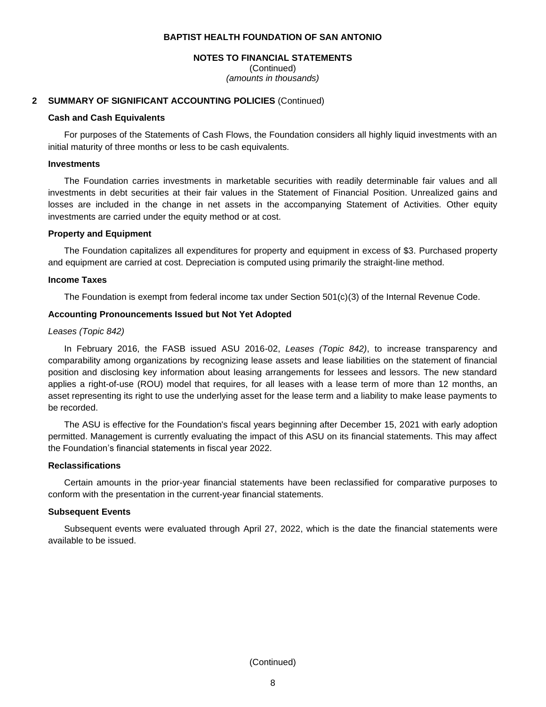**NOTES TO FINANCIAL STATEMENTS** (Continued) *(amounts in thousands)*

### **2 SUMMARY OF SIGNIFICANT ACCOUNTING POLICIES** (Continued)

#### **Cash and Cash Equivalents**

For purposes of the Statements of Cash Flows, the Foundation considers all highly liquid investments with an initial maturity of three months or less to be cash equivalents.

#### **Investments**

The Foundation carries investments in marketable securities with readily determinable fair values and all investments in debt securities at their fair values in the Statement of Financial Position. Unrealized gains and losses are included in the change in net assets in the accompanying Statement of Activities. Other equity investments are carried under the equity method or at cost.

### **Property and Equipment**

The Foundation capitalizes all expenditures for property and equipment in excess of \$3. Purchased property and equipment are carried at cost. Depreciation is computed using primarily the straight-line method.

#### **Income Taxes**

The Foundation is exempt from federal income tax under Section 501(c)(3) of the Internal Revenue Code.

### **Accounting Pronouncements Issued but Not Yet Adopted**

#### *Leases (Topic 842)*

In February 2016, the FASB issued ASU 2016-02, *Leases (Topic 842)*, to increase transparency and comparability among organizations by recognizing lease assets and lease liabilities on the statement of financial position and disclosing key information about leasing arrangements for lessees and lessors. The new standard applies a right-of-use (ROU) model that requires, for all leases with a lease term of more than 12 months, an asset representing its right to use the underlying asset for the lease term and a liability to make lease payments to be recorded.

The ASU is effective for the Foundation's fiscal years beginning after December 15, 2021 with early adoption permitted. Management is currently evaluating the impact of this ASU on its financial statements. This may affect the Foundation's financial statements in fiscal year 2022.

#### **Reclassifications**

Certain amounts in the prior-year financial statements have been reclassified for comparative purposes to conform with the presentation in the current-year financial statements.

#### **Subsequent Events**

Subsequent events were evaluated through April 27, 2022, which is the date the financial statements were available to be issued.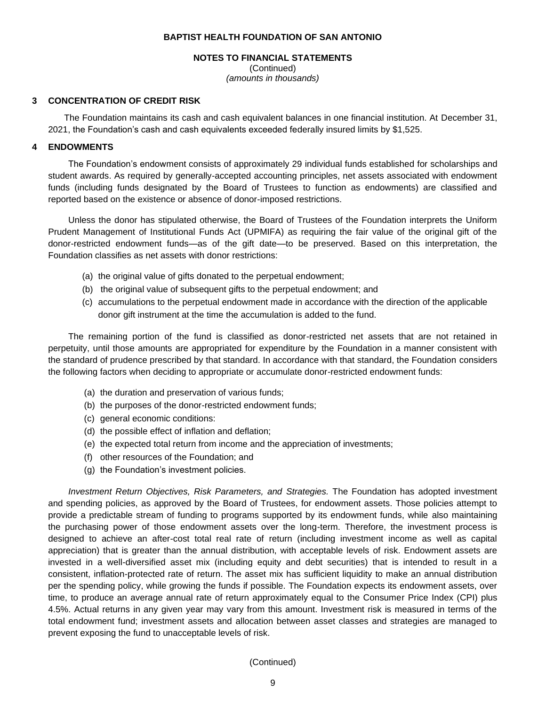### **NOTES TO FINANCIAL STATEMENTS** (Continued) *(amounts in thousands)*

# **3 CONCENTRATION OF CREDIT RISK**

The Foundation maintains its cash and cash equivalent balances in one financial institution. At December 31, 2021, the Foundation's cash and cash equivalents exceeded federally insured limits by \$1,525.

# **4 ENDOWMENTS**

The Foundation's endowment consists of approximately 29 individual funds established for scholarships and student awards. As required by generally-accepted accounting principles, net assets associated with endowment funds (including funds designated by the Board of Trustees to function as endowments) are classified and reported based on the existence or absence of donor-imposed restrictions.

Unless the donor has stipulated otherwise, the Board of Trustees of the Foundation interprets the Uniform Prudent Management of Institutional Funds Act (UPMIFA) as requiring the fair value of the original gift of the donor-restricted endowment funds—as of the gift date—to be preserved. Based on this interpretation, the Foundation classifies as net assets with donor restrictions:

- (a) the original value of gifts donated to the perpetual endowment;
- (b) the original value of subsequent gifts to the perpetual endowment; and
- (c) accumulations to the perpetual endowment made in accordance with the direction of the applicable donor gift instrument at the time the accumulation is added to the fund.

The remaining portion of the fund is classified as donor-restricted net assets that are not retained in perpetuity, until those amounts are appropriated for expenditure by the Foundation in a manner consistent with the standard of prudence prescribed by that standard. In accordance with that standard, the Foundation considers the following factors when deciding to appropriate or accumulate donor-restricted endowment funds:

- (a) the duration and preservation of various funds;
- (b) the purposes of the donor-restricted endowment funds;
- (c) general economic conditions:
- (d) the possible effect of inflation and deflation;
- (e) the expected total return from income and the appreciation of investments;
- (f) other resources of the Foundation; and
- (g) the Foundation's investment policies.

*Investment Return Objectives, Risk Parameters, and Strategies.* The Foundation has adopted investment and spending policies, as approved by the Board of Trustees, for endowment assets. Those policies attempt to provide a predictable stream of funding to programs supported by its endowment funds, while also maintaining the purchasing power of those endowment assets over the long-term. Therefore, the investment process is designed to achieve an after-cost total real rate of return (including investment income as well as capital appreciation) that is greater than the annual distribution, with acceptable levels of risk. Endowment assets are invested in a well-diversified asset mix (including equity and debt securities) that is intended to result in a consistent, inflation-protected rate of return. The asset mix has sufficient liquidity to make an annual distribution per the spending policy, while growing the funds if possible. The Foundation expects its endowment assets, over time, to produce an average annual rate of return approximately equal to the Consumer Price Index (CPI) plus 4.5%. Actual returns in any given year may vary from this amount. Investment risk is measured in terms of the total endowment fund; investment assets and allocation between asset classes and strategies are managed to prevent exposing the fund to unacceptable levels of risk.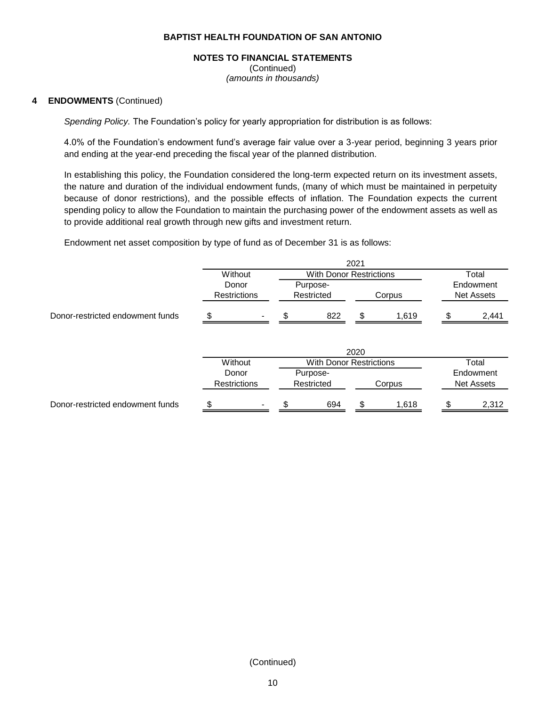**NOTES TO FINANCIAL STATEMENTS** (Continued)

*(amounts in thousands)*

### **4 ENDOWMENTS** (Continued)

*Spending Policy.* The Foundation's policy for yearly appropriation for distribution is as follows:

4.0% of the Foundation's endowment fund's average fair value over a 3-year period, beginning 3 years prior and ending at the year-end preceding the fiscal year of the planned distribution.

In establishing this policy, the Foundation considered the long-term expected return on its investment assets, the nature and duration of the individual endowment funds, (many of which must be maintained in perpetuity because of donor restrictions), and the possible effects of inflation. The Foundation expects the current spending policy to allow the Foundation to maintain the purchasing power of the endowment assets as well as to provide additional real growth through new gifts and investment return.

Endowment net asset composition by type of fund as of December 31 is as follows:

|                                  | 2021                |   |                                |        |        |           |                   |  |  |
|----------------------------------|---------------------|---|--------------------------------|--------|--------|-----------|-------------------|--|--|
|                                  | Without             |   | <b>With Donor Restrictions</b> |        |        | Total     |                   |  |  |
|                                  | Donor               |   | Purpose-                       |        |        |           | Endowment         |  |  |
|                                  | Restrictions        |   | Restricted                     | Corpus |        |           | <b>Net Assets</b> |  |  |
| Donor-restricted endowment funds | \$.                 |   | 822                            | S      | 1,619  |           | 2,441             |  |  |
|                                  |                     |   |                                |        |        |           |                   |  |  |
|                                  |                     |   |                                | 2020   |        |           |                   |  |  |
|                                  | Without             |   | <b>With Donor Restrictions</b> |        |        | Total     |                   |  |  |
|                                  | Donor               |   | Purpose-                       |        |        | Endowment |                   |  |  |
|                                  | <b>Restrictions</b> |   | Restricted                     |        | Corpus |           | <b>Net Assets</b> |  |  |
| Donor-restricted endowment funds | \$                  | S | 694                            | S      | 1,618  |           | 2,312             |  |  |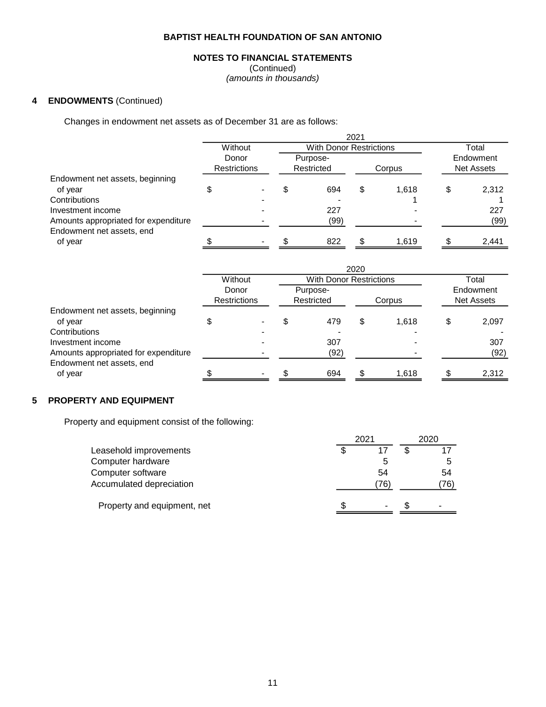# **NOTES TO FINANCIAL STATEMENTS**

(Continued)

*(amounts in thousands)*

# **4 ENDOWMENTS** (Continued)

Changes in endowment net assets as of December 31 are as follows:

|                                      |                              |                          |                                | 2021 |        |                         |
|--------------------------------------|------------------------------|--------------------------|--------------------------------|------|--------|-------------------------|
|                                      |                              | Without                  | <b>With Donor Restrictions</b> |      |        | Total                   |
|                                      | Donor<br><b>Restrictions</b> |                          | Purpose-<br>Restricted         |      | Corpus | Endowment<br>Net Assets |
| Endowment net assets, beginning      |                              |                          |                                |      |        |                         |
| of year                              | \$                           |                          | \$<br>694                      | \$   | 1.618  | \$<br>2,312             |
| Contributions                        |                              |                          |                                |      |        |                         |
| Investment income                    |                              |                          | 227                            |      |        | 227                     |
| Amounts appropriated for expenditure |                              |                          | (99)                           |      |        | (99)                    |
| Endowment net assets, end<br>of year |                              | $\overline{\phantom{0}}$ | 822                            |      | 1,619  | 2,441                   |

|                                      |                     |   |                                | 2020 |        |   |                   |
|--------------------------------------|---------------------|---|--------------------------------|------|--------|---|-------------------|
|                                      | Without             |   | <b>With Donor Restrictions</b> |      |        |   | Total             |
|                                      | Donor               |   | Purpose-                       |      |        |   | Endowment         |
|                                      | <b>Restrictions</b> |   | Restricted                     |      | Corpus |   | <b>Net Assets</b> |
| Endowment net assets, beginning      |                     |   |                                |      |        |   |                   |
| of year                              | \$                  | J | 479                            | \$   | 1,618  | S | 2,097             |
| Contributions                        |                     |   |                                |      |        |   |                   |
| Investment income                    |                     |   | 307                            |      |        |   | 307               |
| Amounts appropriated for expenditure |                     |   | (92)                           |      |        |   | (92)              |
| Endowment net assets, end            |                     |   |                                |      |        |   |                   |
| of year                              |                     |   | 694                            |      | 1,618  |   | 2,312             |

# **5 PROPERTY AND EQUIPMENT**

Property and equipment consist of the following:

|                             | 2021 | 2020 |
|-----------------------------|------|------|
| Leasehold improvements      | 17   |      |
| Computer hardware           | 5    | 5    |
| Computer software           | 54   | 54   |
| Accumulated depreciation    | (76) | (76) |
| Property and equipment, net | ۰    |      |
|                             |      |      |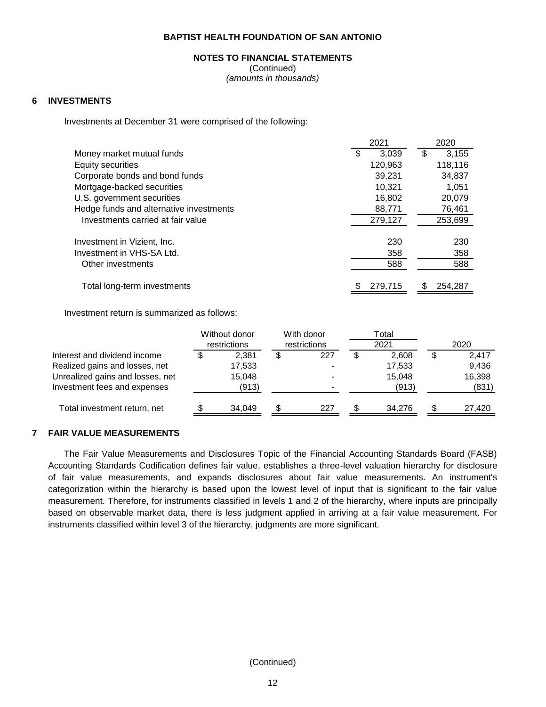# **NOTES TO FINANCIAL STATEMENTS**

(Continued)

*(amounts in thousands)*

# **6 INVESTMENTS**

Investments at December 31 were comprised of the following:

|                                         | 2021         | 2020          |
|-----------------------------------------|--------------|---------------|
| Money market mutual funds               | \$.<br>3.039 | \$<br>3.155   |
| Equity securities                       | 120,963      | 118,116       |
| Corporate bonds and bond funds          | 39,231       | 34,837        |
| Mortgage-backed securities              | 10.321       | 1,051         |
| U.S. government securities              | 16.802       | 20,079        |
| Hedge funds and alternative investments | 88,771       | 76,461        |
| Investments carried at fair value       | 279,127      | 253,699       |
|                                         |              |               |
| Investment in Vizient, Inc.             | 230          | 230           |
| Investment in VHS-SA Ltd.               | 358          | 358           |
| Other investments                       | 588          | 588           |
| Total long-term investments             | S<br>279.715 | 254,287<br>æ. |

Investment return is summarized as follows:

|                                  | Without donor<br>restrictions |    | With donor<br>restrictions | Total<br>2021 | 2020        |
|----------------------------------|-------------------------------|----|----------------------------|---------------|-------------|
| Interest and dividend income     | 2.381                         | \$ | 227                        | 2.608         | \$<br>2.417 |
| Realized gains and losses, net   | 17,533                        |    |                            | 17,533        | 9,436       |
| Unrealized gains and losses, net | 15,048                        |    |                            | 15.048        | 16,398      |
| Investment fees and expenses     | (913)                         |    |                            | (913)         | (831)       |
| Total investment return, net     | 34.049                        | S  | 227                        | 34.276        | 27,420      |

# **7 FAIR VALUE MEASUREMENTS**

The Fair Value Measurements and Disclosures Topic of the Financial Accounting Standards Board (FASB) Accounting Standards Codification defines fair value, establishes a three-level valuation hierarchy for disclosure of fair value measurements, and expands disclosures about fair value measurements. An instrument's categorization within the hierarchy is based upon the lowest level of input that is significant to the fair value measurement. Therefore, for instruments classified in levels 1 and 2 of the hierarchy, where inputs are principally based on observable market data, there is less judgment applied in arriving at a fair value measurement. For instruments classified within level 3 of the hierarchy, judgments are more significant.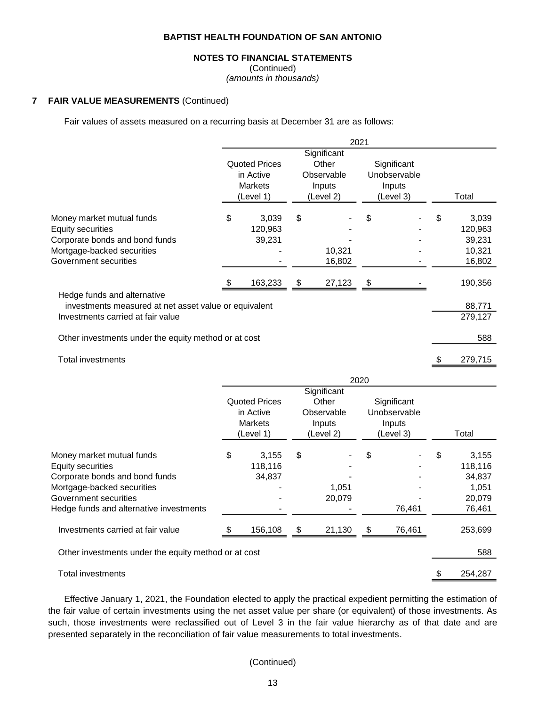# **NOTES TO FINANCIAL STATEMENTS**

(Continued)

*(amounts in thousands)*

## **7 FAIR VALUE MEASUREMENTS** (Continued)

Fair values of assets measured on a recurring basis at December 31 are as follows:

| 2021 |                            |                                                                                                                                                                                   |                  |                                                           |  |                                                    |                                                |
|------|----------------------------|-----------------------------------------------------------------------------------------------------------------------------------------------------------------------------------|------------------|-----------------------------------------------------------|--|----------------------------------------------------|------------------------------------------------|
|      |                            |                                                                                                                                                                                   |                  |                                                           |  |                                                    | Total                                          |
| \$   | 3,039<br>120,963<br>39,231 | \$                                                                                                                                                                                | 10,321<br>16,802 | \$                                                        |  | S                                                  | 3,039<br>120,963<br>39,231<br>10,321<br>16,802 |
|      | 163,233                    | \$                                                                                                                                                                                | 27,123           |                                                           |  |                                                    | 190,356<br>88,771<br>279,127                   |
|      |                            |                                                                                                                                                                                   |                  |                                                           |  |                                                    | 588                                            |
|      |                            |                                                                                                                                                                                   |                  |                                                           |  |                                                    | 279,715                                        |
|      |                            | <b>Quoted Prices</b><br>in Active<br><b>Markets</b><br>(Level 1)<br>investments measured at net asset value or equivalent<br>Other investments under the equity method or at cost |                  | Significant<br>Other<br>Observable<br>Inputs<br>(Level 2) |  | Significant<br>Unobservable<br>Inputs<br>(Level 3) |                                                |

|                                                      | 2020 |                      |    |             |    |              |    |         |
|------------------------------------------------------|------|----------------------|----|-------------|----|--------------|----|---------|
|                                                      |      |                      |    | Significant |    |              |    |         |
|                                                      |      | <b>Quoted Prices</b> |    | Other       |    | Significant  |    |         |
|                                                      |      | in Active            |    | Observable  |    | Unobservable |    |         |
|                                                      |      | <b>Markets</b>       |    | Inputs      |    | Inputs       |    |         |
|                                                      |      | (Level 1)            |    | (Level 2)   |    | (Level 3)    |    | Total   |
| Money market mutual funds                            | \$   | 3,155                | \$ |             | \$ |              | \$ | 3,155   |
| <b>Equity securities</b>                             |      | 118,116              |    |             |    |              |    | 118,116 |
| Corporate bonds and bond funds                       |      | 34,837               |    |             |    |              |    | 34,837  |
| Mortgage-backed securities                           |      |                      |    | 1,051       |    |              |    | 1,051   |
| Government securities                                |      |                      |    | 20,079      |    |              |    | 20,079  |
| Hedge funds and alternative investments              |      |                      |    |             |    | 76,461       |    | 76,461  |
| Investments carried at fair value                    |      | 156,108              | \$ | 21,130      | \$ | 76,461       |    | 253,699 |
| Other investments under the equity method or at cost |      |                      |    |             |    |              |    | 588     |
| <b>Total investments</b>                             |      |                      |    |             |    |              | \$ | 254.287 |

Effective January 1, 2021, the Foundation elected to apply the practical expedient permitting the estimation of the fair value of certain investments using the net asset value per share (or equivalent) of those investments. As such, those investments were reclassified out of Level 3 in the fair value hierarchy as of that date and are presented separately in the reconciliation of fair value measurements to total investments.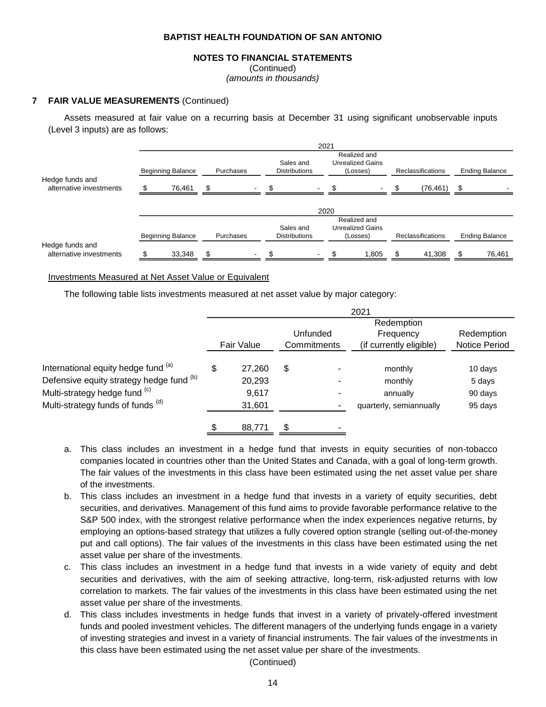**NOTES TO FINANCIAL STATEMENTS**

(Continued)

*(amounts in thousands)*

## **7 FAIR VALUE MEASUREMENTS** (Continued)

Assets measured at fair value on a recurring basis at December 31 using significant unobservable inputs (Level 3 inputs) are as follows:

|                                            |                          |           |                                   | 2021                                                |                          |                       |
|--------------------------------------------|--------------------------|-----------|-----------------------------------|-----------------------------------------------------|--------------------------|-----------------------|
|                                            | <b>Beginning Balance</b> | Purchases | Sales and<br><b>Distributions</b> | Realized and<br><b>Unrealized Gains</b><br>(Losses) | <b>Reclassifications</b> | <b>Ending Balance</b> |
| Hedge funds and<br>alternative investments | 76,461                   | \$        | \$                                | \$                                                  | \$<br>(76,461)           | \$                    |
|                                            |                          |           |                                   | 2020                                                |                          |                       |
|                                            |                          |           |                                   | Realized and                                        |                          |                       |
|                                            | <b>Beginning Balance</b> | Purchases | Sales and<br><b>Distributions</b> | <b>Unrealized Gains</b><br>(Losses)                 | Reclassifications        | <b>Ending Balance</b> |
| Hedge funds and<br>alternative investments | 33,348                   |           |                                   | 1,805                                               | 41,308                   | 76,461                |

## Investments Measured at Net Asset Value or Equivalent

The following table lists investments measured at net asset value by major category:

|                                          |    |                   |            |             | 2021                    |                      |  |  |  |  |  |
|------------------------------------------|----|-------------------|------------|-------------|-------------------------|----------------------|--|--|--|--|--|
|                                          |    |                   | Redemption |             |                         |                      |  |  |  |  |  |
|                                          |    |                   |            | Unfunded    | Frequency               | Redemption           |  |  |  |  |  |
|                                          |    | <b>Fair Value</b> |            | Commitments | (if currently eligible) | <b>Notice Period</b> |  |  |  |  |  |
| International equity hedge fund (a)      | S  | 27.260            | \$         |             | monthly                 | 10 days              |  |  |  |  |  |
| Defensive equity strategy hedge fund (b) |    | 20,293            |            |             | monthly                 | 5 days               |  |  |  |  |  |
| Multi-strategy hedge fund (c)            |    | 9,617             |            |             | annually                | 90 days              |  |  |  |  |  |
| Multi-strategy funds of funds (d)        |    | 31,601            |            |             | quarterly, semiannually | 95 days              |  |  |  |  |  |
|                                          | \$ | 88,771            | \$         |             |                         |                      |  |  |  |  |  |

- a. This class includes an investment in a hedge fund that invests in equity securities of non-tobacco companies located in countries other than the United States and Canada, with a goal of long-term growth. The fair values of the investments in this class have been estimated using the net asset value per share of the investments.
- b. This class includes an investment in a hedge fund that invests in a variety of equity securities, debt securities, and derivatives. Management of this fund aims to provide favorable performance relative to the S&P 500 index, with the strongest relative performance when the index experiences negative returns, by employing an options-based strategy that utilizes a fully covered option strangle (selling out-of-the-money put and call options). The fair values of the investments in this class have been estimated using the net asset value per share of the investments.
- c. This class includes an investment in a hedge fund that invests in a wide variety of equity and debt securities and derivatives, with the aim of seeking attractive, long-term, risk-adjusted returns with low correlation to markets. The fair values of the investments in this class have been estimated using the net asset value per share of the investments.
- d. This class includes investments in hedge funds that invest in a variety of privately-offered investment funds and pooled investment vehicles. The different managers of the underlying funds engage in a variety of investing strategies and invest in a variety of financial instruments. The fair values of the investments in this class have been estimated using the net asset value per share of the investments.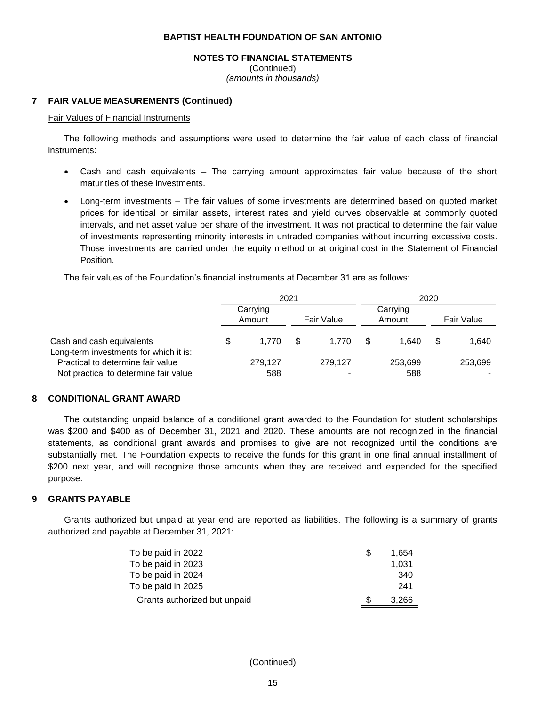**NOTES TO FINANCIAL STATEMENTS**

(Continued)

*(amounts in thousands)*

### **7 FAIR VALUE MEASUREMENTS (Continued)**

### Fair Values of Financial Instruments

The following methods and assumptions were used to determine the fair value of each class of financial instruments:

- Cash and cash equivalents The carrying amount approximates fair value because of the short maturities of these investments.
- Long-term investments The fair values of some investments are determined based on quoted market prices for identical or similar assets, interest rates and yield curves observable at commonly quoted intervals, and net asset value per share of the investment. It was not practical to determine the fair value of investments representing minority interests in untraded companies without incurring excessive costs. Those investments are carried under the equity method or at original cost in the Statement of Financial Position.

The fair values of the Foundation's financial instruments at December 31 are as follows:

|                                                                            | 2021               |                |            |         |                    | 2020           |                   |         |  |
|----------------------------------------------------------------------------|--------------------|----------------|------------|---------|--------------------|----------------|-------------------|---------|--|
|                                                                            | Carrying<br>Amount |                | Fair Value |         | Carrying<br>Amount |                | <b>Fair Value</b> |         |  |
| Cash and cash equivalents<br>Long-term investments for which it is:        | \$                 | 1.770          |            | 1.770   | -S                 | 1.640          |                   | 1.640   |  |
| Practical to determine fair value<br>Not practical to determine fair value |                    | 279.127<br>588 |            | 279.127 |                    | 253,699<br>588 |                   | 253,699 |  |

### **8 CONDITIONAL GRANT AWARD**

The outstanding unpaid balance of a conditional grant awarded to the Foundation for student scholarships was \$200 and \$400 as of December 31, 2021 and 2020. These amounts are not recognized in the financial statements, as conditional grant awards and promises to give are not recognized until the conditions are substantially met. The Foundation expects to receive the funds for this grant in one final annual installment of \$200 next year, and will recognize those amounts when they are received and expended for the specified purpose.

### **9 GRANTS PAYABLE**

Grants authorized but unpaid at year end are reported as liabilities. The following is a summary of grants authorized and payable at December 31, 2021:

| To be paid in 2022           | \$. | 1.654 |
|------------------------------|-----|-------|
| To be paid in 2023           |     | 1.031 |
| To be paid in 2024           |     | 340   |
| To be paid in 2025           |     | 241   |
| Grants authorized but unpaid |     | 3.266 |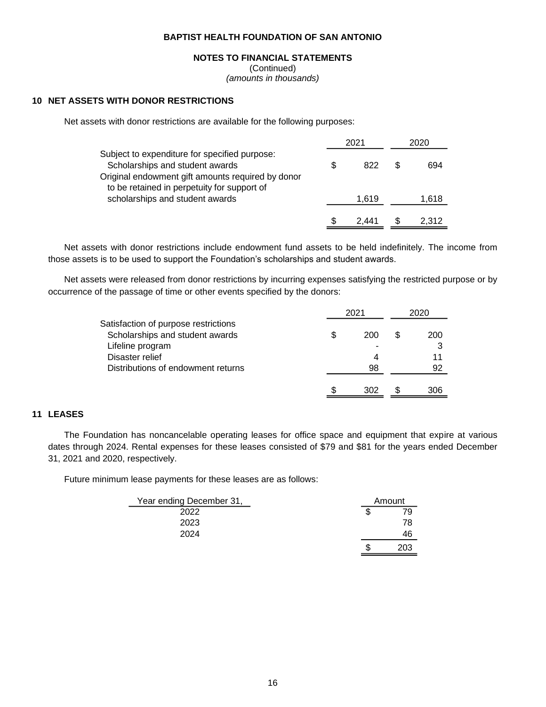### **NOTES TO FINANCIAL STATEMENTS**

(Continued)

*(amounts in thousands)*

## **10 NET ASSETS WITH DONOR RESTRICTIONS**

Net assets with donor restrictions are available for the following purposes:

|                                                                                                  |   | $202^{\circ}$ |  |       |
|--------------------------------------------------------------------------------------------------|---|---------------|--|-------|
| Subject to expenditure for specified purpose:<br>Scholarships and student awards                 | S | 822           |  | 694   |
| Original endowment gift amounts required by donor<br>to be retained in perpetuity for support of |   |               |  |       |
| scholarships and student awards                                                                  |   | 1.619         |  | 1,618 |
|                                                                                                  |   | 2.441         |  | 2.312 |

Net assets with donor restrictions include endowment fund assets to be held indefinitely. The income from those assets is to be used to support the Foundation's scholarships and student awards.

Net assets were released from donor restrictions by incurring expenses satisfying the restricted purpose or by occurrence of the passage of time or other events specified by the donors:

|                                      |    | 2021 |   | 2020 |
|--------------------------------------|----|------|---|------|
| Satisfaction of purpose restrictions |    |      |   |      |
| Scholarships and student awards      | \$ | 200  |   | 200  |
| Lifeline program                     |    |      |   | 3    |
| Disaster relief                      |    | 4    |   | 11   |
| Distributions of endowment returns   |    | 98   |   | 92   |
|                                      |    |      |   |      |
|                                      | S  | 302  | Ж | 306  |

# **11 LEASES**

The Foundation has noncancelable operating leases for office space and equipment that expire at various dates through 2024. Rental expenses for these leases consisted of \$79 and \$81 for the years ended December 31, 2021 and 2020, respectively.

Future minimum lease payments for these leases are as follows:

| Year ending December 31, | Amount |    |  |
|--------------------------|--------|----|--|
| 2022                     | ۰D     |    |  |
| 2023                     |        | 78 |  |
| 2024                     |        | 46 |  |
|                          |        |    |  |